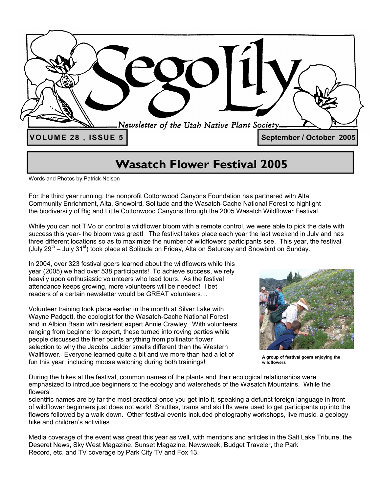

## **Wasatch Flower Festival 2005**

Words and Photos by Patrick Nelson

For the third year running, the nonprofit Cottonwood Canyons Foundation has partnered with Alta Community Enrichment, Alta, Snowbird, Solitude and the Wasatch-Cache National Forest to highlight the biodiversity of Big and Little Cottonwood Canyons through the 2005 Wasatch Wildflower Festival.

While you can not TiVo or control a wildflower bloom with a remote control, we were able to pick the date with success this year- the bloom was great! The festival takes place each year the last weekend in July and has three different locations so as to maximize the number of wildflowers participants see. This year, the festival (July 29<sup>th</sup> – July 31<sup>st</sup>) took place at Solitude on Friday, Alta on Saturday and Snowbird on Sunday.

In 2004, over 323 festival goers learned about the wildflowers while this year (2005) we had over 538 participants! To achieve success, we rely heavily upon enthusiastic volunteers who lead tours. As the festival attendance keeps growing, more volunteers will be needed! I bet readers of a certain newsletter would be GREAT volunteers…

Volunteer training took place earlier in the month at Silver Lake with Wayne Padgett, the ecologist for the Wasatch-Cache National Forest and in Albion Basin with resident expert Annie Crawley. With volunteers ranging from beginner to expert, these turned into roving parties while people discussed the finer points anything from pollinator flower selection to why the Jacobs Ladder smells different than the Western Wallflower. Everyone learned quite a bit and we more than had a lot of fun this year, including moose watching during both trainings!



**A group of festival goers enjoying the wildflowers** 

During the hikes at the festival, common names of the plants and their ecological relationships were emphasized to introduce beginners to the ecology and watersheds of the Wasatch Mountains. While the flowers'

scientific names are by far the most practical once you get into it, speaking a defunct foreign language in front of wildflower beginners just does not work! Shuttles, trams and ski lifts were used to get participants up into the flowers followed by a walk down. Other festival events included photography workshops, live music, a geology hike and children's activities.

Media coverage of the event was great this year as well, with mentions and articles in the Salt Lake Tribune, the Deseret News, Sky West Magazine, Sunset Magazine, Newsweek, Budget Traveler, the Park Record, etc. and TV coverage by Park City TV and Fox 13.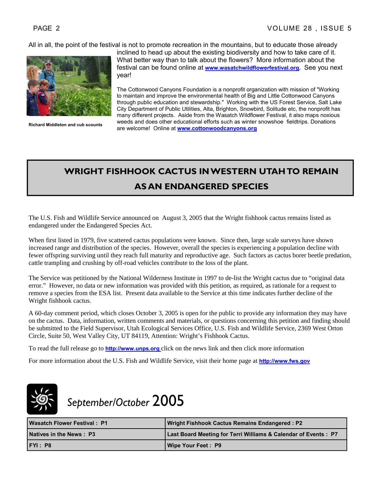All in all, the point of the festival is not to promote recreation in the mountains, but to educate those already



inclined to head up about the existing biodiversity and how to take care of it. What better way than to talk about the flowers? More information about the festival can be found online at **www.wasatchwildflowerfestival.org.** See you next year!

The Cottonwood Canyons Foundation is a nonprofit organization with mission of "Working to maintain and improve the environmental health of Big and Little Cottonwood Canyons through public education and stewardship." Working with the US Forest Service, Salt Lake City Department of Public Utilities, Alta, Brighton, Snowbird, Solitude etc, the nonprofit has many different projects. Aside from the Wasatch Wildflower Festival, it also maps noxious weeds and does other educational efforts such as winter snowshoe fieldtrips. Donations are welcome! Online at **www.cottonwoodcanyons.org Richard Middleton and cub scounts** 

## **WRIGHT FISHHOOK CACTUS IN WESTERN UTAH TO REMAIN AS AN ENDANGERED SPECIES**

The U.S. Fish and Wildlife Service announced on August 3, 2005 that the Wright fishhook cactus remains listed as endangered under the Endangered Species Act.

When first listed in 1979, five scattered cactus populations were known. Since then, large scale surveys have shown increased range and distribution of the species. However, overall the species is experiencing a population decline with fewer offspring surviving until they reach full maturity and reproductive age. Such factors as cactus borer beetle predation, cattle trampling and crushing by off-road vehicles contribute to the loss of the plant.

The Service was petitioned by the National Wilderness Institute in 1997 to de-list the Wright cactus due to "original data error." However, no data or new information was provided with this petition, as required, as rationale for a request to remove a species from the ESA list. Present data available to the Service at this time indicates further decline of the Wright fishhook cactus.

A 60-day comment period, which closes October 3, 2005 is open for the public to provide any information they may have on the cactus. Data, information, written comments and materials, or questions concerning this petition and finding should be submitted to the Field Supervisor, Utah Ecological Services Office, U.S. Fish and Wildlife Service, 2369 West Orton Circle, Suite 50, West Valley City, UT 84119, Attention: Wright's Fishhook Cactus.

To read the full release go to **http://www.unps.org** click on the news link and then click more information

For more information about the U.S. Fish and Wildlife Service, visit their home page at **http://www.fws.gov**



## *September/October* 2005

| <b>Wasatch Flower Festival: P1/</b> | Wright Fishhook Cactus Remains Endangered : P2                  |
|-------------------------------------|-----------------------------------------------------------------|
| Natives in the News: P3             | Last Board Meeting for Terri Williams & Calendar of Events : P7 |
| FTI: P8                             | <b>Wipe Your Feet: P9</b>                                       |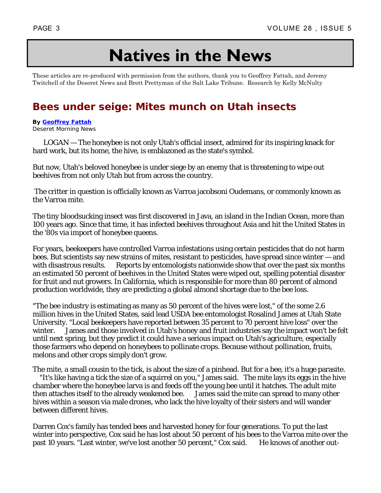## **Natives in the News**

These articles are re-produced with permission from the authors, thank you to Geoffrey Fattah, and Jeremy Twitchell of the Deseret News and Brett Prettyman of the Salt Lake Tribune. Research by Kelly McNulty

## **Bees under seige: Mites munch on Utah insects**

**By Geoffrey Fattah** Deseret Morning News

 LOGAN — The honeybee is not only Utah's official insect, admired for its inspiring knack for hard work, but its home, the hive, is emblazoned as the state's symbol.

But now, Utah's beloved honeybee is under siege by an enemy that is threatening to wipe out beehives from not only Utah but from across the country.

 The critter in question is officially known as Varroa jacobsoni Oudemans, or commonly known as the Varroa mite.

The tiny bloodsucking insect was first discovered in Java, an island in the Indian Ocean, more than 100 years ago. Since that time, it has infected beehives throughout Asia and hit the United States in the '80s via import of honeybee queens.

For years, beekeepers have controlled Varroa infestations using certain pesticides that do not harm bees. But scientists say new strains of mites, resistant to pesticides, have spread since winter — and with disastrous results. Reports by entomologists nationwide show that over the past six months an estimated 50 percent of beehives in the United States were wiped out, spelling potential disaster for fruit and nut growers. In California, which is responsible for more than 80 percent of almond production worldwide, they are predicting a global almond shortage due to the bee loss.

"The bee industry is estimating as many as 50 percent of the hives were lost," of the some 2.6 million hives in the United States, said lead USDA bee entomologist Rosalind James at Utah State University. "Local beekeepers have reported between 35 percent to 70 percent hive loss" over the winter. James and those involved in Utah's honey and fruit industries say the impact won't be felt until next spring, but they predict it could have a serious impact on Utah's agriculture, especially those farmers who depend on honeybees to pollinate crops. Because without pollination, fruits, melons and other crops simply don't grow.

The mite, a small cousin to the tick, is about the size of a pinhead. But for a bee, it's a huge parasite. "It's like having a tick the size of a squirrel on you," James said. The mite lays its eggs in the hive chamber where the honeybee larva is and feeds off the young bee until it hatches. The adult mite then attaches itself to the already weakened bee. James said the mite can spread to many other hives within a season via male drones, who lack the hive loyalty of their sisters and will wander between different hives.

Darren Cox's family has tended bees and harvested honey for four generations. To put the last winter into perspective, Cox said he has lost about 50 percent of his bees to the Varroa mite over the past 10 years. "Last winter, we've lost another 50 percent," Cox said. He knows of another out-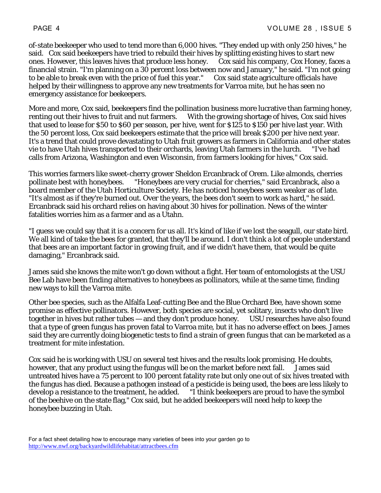of-state beekeeper who used to tend more than 6,000 hives. "They ended up with only 250 hives," he said. Cox said beekeepers have tried to rebuild their hives by splitting existing hives to start new ones. However, this leaves hives that produce less honey. Cox said his company, Cox Honey, faces a financial strain. "I'm planning on a 30 percent loss between now and January," he said. "I'm not going to be able to break even with the price of fuel this year." Cox said state agriculture officials have helped by their willingness to approve any new treatments for Varroa mite, but he has seen no emergency assistance for beekeepers.

More and more, Cox said, beekeepers find the pollination business more lucrative than farming honey, renting out their hives to fruit and nut farmers. With the growing shortage of hives, Cox said hives that used to lease for \$50 to \$60 per season, per hive, went for \$125 to \$150 per hive last year. With the 50 percent loss, Cox said beekeepers estimate that the price will break \$200 per hive next year. It's a trend that could prove devastating to Utah fruit growers as farmers in California and other states vie to have Utah hives transported to their orchards, leaving Utah farmers in the lurch. "I've had calls from Arizona, Washington and even Wisconsin, from farmers looking for hives," Cox said.

This worries farmers like sweet-cherry grower Sheldon Ercanbrack of Orem. Like almonds, cherries pollinate best with honeybees. "Honeybees are very crucial for cherries," said Ercanbrack, also a board member of the Utah Horticulture Society. He has noticed honeybees seem weaker as of late. "It's almost as if they're burned out. Over the years, the bees don't seem to work as hard," he said. Ercanbrack said his orchard relies on having about 30 hives for pollination. News of the winter fatalities worries him as a farmer and as a Utahn.

"I guess we could say that it is a concern for us all. It's kind of like if we lost the seagull, our state bird. We all kind of take the bees for granted, that they'll be around. I don't think a lot of people understand that bees are an important factor in growing fruit, and if we didn't have them, that would be quite damaging," Ercanbrack said.

James said she knows the mite won't go down without a fight. Her team of entomologists at the USU Bee Lab have been finding alternatives to honeybees as pollinators, while at the same time, finding new ways to kill the Varroa mite.

Other bee species, such as the Alfalfa Leaf-cutting Bee and the Blue Orchard Bee, have shown some promise as effective pollinators. However, both species are social, yet solitary, insects who don't live together in hives but rather tubes — and they don't produce honey. USU researches have also found that a type of green fungus has proven fatal to Varroa mite, but it has no adverse effect on bees. James said they are currently doing biogenetic tests to find a strain of green fungus that can be marketed as a treatment for mite infestation.

Cox said he is working with USU on several test hives and the results look promising. He doubts, however, that any product using the fungus will be on the market before next fall. James said untreated hives have a 75 percent to 100 percent fatality rate but only one out of six hives treated with the fungus has died. Because a pathogen instead of a pesticide is being used, the bees are less likely to develop a resistance to the treatment, he added. "I think beekeepers are proud to have the symbol of the beehive on the state flag," Cox said, but he added beekeepers will need help to keep the honeybee buzzing in Utah.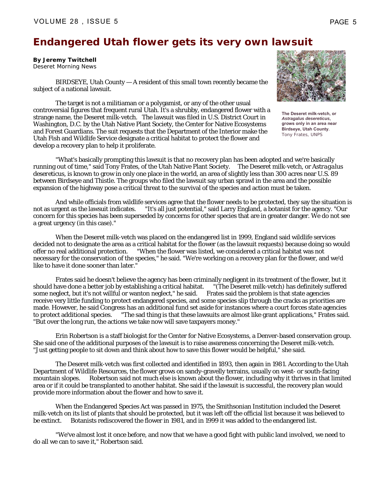## **Endangered Utah flower gets its very own lawsuit**

**By Jeremy Twitchell** Deseret Morning News

 BIRDSEYE, Utah County — A resident of this small town recently became the subject of a national lawsuit.

 The target is not a militiaman or a polygamist, or any of the other usual controversial figures that frequent rural Utah. It's a shrubby, endangered flower with a strange name, the Deseret milk-vetch. The lawsuit was filed in U.S. District Court in Washington, D.C. by the Utah Native Plant Society, the Center for Native Ecosystems and Forest Guardians. The suit requests that the Department of the Interior make the Utah Fish and Wildlife Service designate a critical habitat to protect the flower and develop a recovery plan to help it proliferate.

**The Deseret milk-vetch, or** 

*Astragalus desereticus***, grows only in an area near Birdseye, Utah County**. *Tony Frates, UNPS*

 "What's basically prompting this lawsuit is that no recovery plan has been adopted and we're basically running out of time," said Tony Frates, of the Utah Native Plant Society. The Deseret milk-vetch, or *Astragalus desereticus*, is known to grow in only one place in the world, an area of slightly less than 300 acres near U.S. 89 between Birdseye and Thistle. The groups who filed the lawsuit say urban sprawl in the area and the possible expansion of the highway pose a critical threat to the survival of the species and action must be taken.

 And while officials from wildlife services agree that the flower needs to be protected, they say the situation is not as urgent as the lawsuit indicates. "It's all just potential," said Larry England, a botanist for the agency. "Our concern for this species has been superseded by concerns for other species that are in greater danger. We do not see a great urgency (in this case)."

 When the Deseret milk-vetch was placed on the endangered list in 1999, England said wildlife services decided not to designate the area as a critical habitat for the flower (as the lawsuit requests) because doing so would offer no real additional protection. "When the flower was listed, we considered a critical habitat was not necessary for the conservation of the species," he said. "We're working on a recovery plan for the flower, and we'd like to have it done sooner than later."

 Frates said he doesn't believe the agency has been criminally negligent in its treatment of the flower, but it should have done a better job by establishing a critical habitat. "(The Deseret milk-vetch) has definitely suffered some neglect, but it's not willful or wanton neglect," he said. Frates said the problem is that state agencies receive very little funding to protect endangered species, and some species slip through the cracks as priorities are made. However, he said Congress has an additional fund set aside for instances where a court forces state agencies to protect additional species. The sad thing is that these lawsuits are almost like grant applications," Frates said. "But over the long run, the actions we take now will save taxpayers money."

 Erin Robertson is a staff biologist for the Center for Native Ecosystems, a Denver-based conservation group. She said one of the additional purposes of the lawsuit is to raise awareness concerning the Deseret milk-vetch. "Just getting people to sit down and think about how to save this flower would be helpful," she said.

 The Deseret milk-vetch was first collected and identified in 1893, then again in 1981. According to the Utah Department of Wildlife Resources, the flower grows on sandy-gravelly terrains, usually on west- or south-facing mountain slopes. Robertson said not much else is known about the flower, including why it thrives in that limited area or if it could be transplanted to another habitat. She said if the lawsuit is successful, the recovery plan would provide more information about the flower and how to save it.

 When the Endangered Species Act was passed in 1975, the Smithsonian Institution included the Deseret milk-vetch on its list of plants that should be protected, but it was left off the official list because it was believed to be extinct. Botanists rediscovered the flower in 1981, and in 1999 it was added to the endangered list.

 "We've almost lost it once before, and now that we have a good fight with public land involved, we need to do all we can to save it," Robertson said.

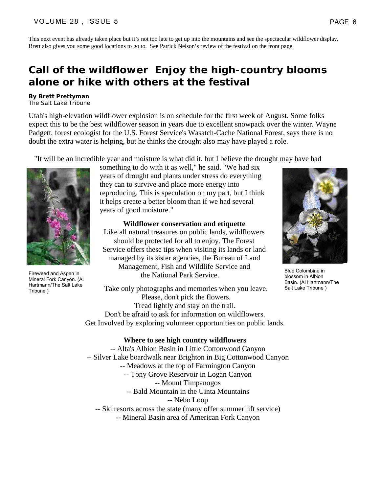This next event has already taken place but it's not too late to get up into the mountains and see the spectacular wildflower display. Brett also gives you some good locations to go to. See Patrick Nelson's review of the festival on the front page.

### **Call of the wildflower Enjoy the high-country blooms alone or hike with others at the festival**

#### **By Brett Prettyman**

The Salt Lake Tribune

Utah's high-elevation wildflower explosion is on schedule for the first week of August. Some folks expect this to be the best wildflower season in years due to excellent snowpack over the winter. Wayne Padgett, forest ecologist for the U.S. Forest Service's Wasatch-Cache National Forest, says there is no doubt the extra water is helping, but he thinks the drought also may have played a role.

"It will be an incredible year and moisture is what did it, but I believe the drought may have had



Fireweed and Aspen in Mineral Fork Canyon. (Al Hartmann/The Salt Lake Tribune )

something to do with it as well," he said. "We had six years of drought and plants under stress do everything they can to survive and place more energy into reproducing. This is speculation on my part, but I think it helps create a better bloom than if we had several years of good moisture."

**Wildflower conservation and etiquette**

Like all natural treasures on public lands, wildflowers should be protected for all to enjoy. The Forest Service offers these tips when visiting its lands or land managed by its sister agencies, the Bureau of Land Management, Fish and Wildlife Service and the National Park Service.



Blue Colombine in blossom in Albion Basin. (Al Hartmann/The Salt Lake Tribune )

Take only photographs and memories when you leave. Please, don't pick the flowers. Tread lightly and stay on the trail. Don't be afraid to ask for information on wildflowers. Get Involved by exploring volunteer opportunities on public lands.

#### **Where to see high country wildflowers**

 -- Alta's Albion Basin in Little Cottonwood Canyon -- Silver Lake boardwalk near Brighton in Big Cottonwood Canyon -- Meadows at the top of Farmington Canyon -- Tony Grove Reservoir in Logan Canyon -- Mount Timpanogos -- Bald Mountain in the Uinta Mountains -- Nebo Loop -- Ski resorts across the state (many offer summer lift service) -- Mineral Basin area of American Fork Canyon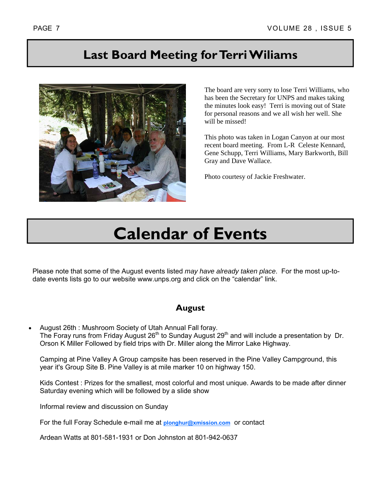## **Last Board Meeting for Terri Wiliams**



The board are very sorry to lose Terri Williams, who has been the Secretary for UNPS and makes taking the minutes look easy! Terri is moving out of State for personal reasons and we all wish her well. She will be missed!

This photo was taken in Logan Canyon at our most recent board meeting. From L-R Celeste Kennard, Gene Schupp, Terri Williams, Mary Barkworth, Bill Gray and Dave Wallace.

Photo courtesy of Jackie Freshwater.

# **Calendar of Events**

Please note that some of the August events listed *may have already taken place*. For the most up-todate events lists go to our website www.unps.org and click on the "calendar" link.

### **August**

• August 26th : Mushroom Society of Utah Annual Fall foray. The Foray runs from Friday August  $26<sup>th</sup>$  to Sunday August  $29<sup>th</sup>$  and will include a presentation by Dr. Orson K Miller Followed by field trips with Dr. Miller along the Mirror Lake Highway.

Camping at Pine Valley A Group campsite has been reserved in the Pine Valley Campground, this year it's Group Site B. Pine Valley is at mile marker 10 on highway 150.

Kids Contest : Prizes for the smallest, most colorful and most unique. Awards to be made after dinner Saturday evening which will be followed by a slide show

Informal review and discussion on Sunday

For the full Foray Schedule e-mail me at **plonghur@xmission.com** or contact

Ardean Watts at 801-581-1931 or Don Johnston at 801-942-0637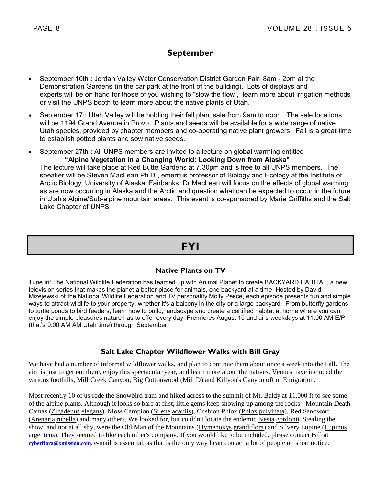### **September**

- September 10th : Jordan Valley Water Conservation District Garden Fair, 8am 2pm at the Demonstration Gardens (in the car park at the front of the building). Lots of displays and experts will be on hand for those of you wishing to "slow the flow", learn more about irrigation methods or visit the UNPS booth to learn more about the native plants of Utah.
- September 17 : Utah Valley will be holding their fall plant sale from 9am to noon. The sale locations will be 1194 Grand Avenue in Provo. Plants and seeds will be available for a wide range of native Utah species, provided by chapter members and co-operating native plant growers. Fall is a great time to establish potted plants and sow native seeds.
- September 27th : All UNPS members are invited to a lecture on global warming entitled **"Alpine Vegetation in a Changing World: Looking Down from Alaska"**  The lecture will take place at Red Butte Gardens at 7.30pm and is free to all UNPS members. The speaker will be Steven MacLean Ph.D., emeritus professor of Biology and Ecology at the Institute of Arctic Biology, University of Alaska. Fairbanks. Dr MacLean will focus on the effects of global warming as are now occurring in Alaska and the Arctic and question what can be expected to occur in the future in Utah's Alpine/Sub-alpine mountain areas. This event is co-sponsored by Marie Griffiths and the Salt

Lake Chapter of UNPS

## **FYI**

#### **Native Plants on TV**

Tune in! The National Wildlife Federation has teamed up with Animal Planet to create BACKYARD HABITAT, a new television series that makes the planet a better place for animals, one backyard at a time. Hosted by David Mizejewski of the National Wildlife Federation and TV personality Molly Pesce, each episode presents fun and simple ways to attract wildlife to your property, whether it's a balcony in the city or a large backyard. From butterfly gardens to turtle ponds to bird feeders, learn how to build, landscape and create a certified habitat at home where you can enjoy the simple pleasures nature has to offer every day. Premieres August 15 and airs weekdays at 11:00 AM E/P (that's 9.00 AM AM Utah time) through September.

#### **Salt Lake Chapter Wildflower Walks with Bill Gray**

We have had a number of informal wildflower walks, and plan to continue them about once a week into the Fall. The aim is just to get out there, enjoy this spectacular year, and learn more about the natives. Venues have included the various foothills, Mill Creek Canyon, Big Cottonwood (Mill D) and Killyon's Canyon off of Emigration.

Most recently 10 of us rode the Snowbird tram and hiked across to the summit of Mt. Baldy at 11,000 ft to see some of the alpine plants. Although it looks so bare at first, little gems keep showing up among the rocks - Mountain Death Camas (Zigadenus elegans), Moss Campion (Silene acaulis), Cushion Phlox (Phlox pulvinata), Red Sandwort (Arenaria rubella) and many others. We looked for, but couldn't locate the endemic Ivesia gordonii. Stealing the show, and not at all shy, were the Old Man of the Mountains (Hymenoxys grandiflora) and Silvery Lupine (Lupinus argenteus). They seemed to like each other's company. If you would like to be included, please contact Bill at **cyberflora@xmission.com.** e-mail is essential, as that is the only way I can contact a lot of people on short notice.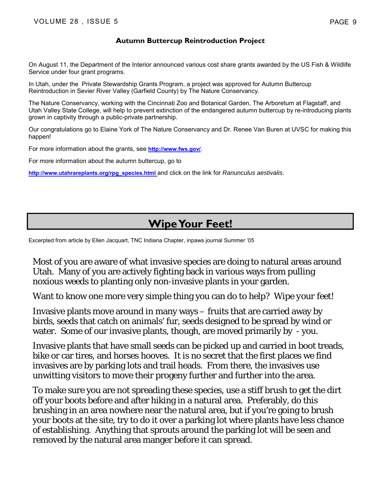#### **Autumn Buttercup Reintroduction Project**

On August 11, the Department of the Interior announced various cost share grants awarded by the US Fish & Wildlife Service under four grant programs.

In Utah, under the Private Stewardship Grants Program, a project was approved for Autumn Buttercup Reintroduction in Sevier River Valley (Garfield County) by The Nature Conservancy.

The Nature Conservancy, working with the Cincinnati Zoo and Botanical Garden, The Arboretum at Flagstaff, and Utah Valley State College, will help to prevent extinction of the endangered autumn buttercup by re-introducing plants grown in captivity through a public-private partnership.

Our congratulations go to Elaine York of The Nature Conservancy and Dr. Renee Van Buren at UVSC for making this happen!

For more information about the grants, see **http://www.fws.gov/**.

For more information about the autumn buttercup, go to

**http://www.utahrareplants.org/rpg\_species.html** and click on the link for *Ranunculus aestivalis*.

## **Wipe Your Feet!**

Excerpted from article by Ellen Jacquart, TNC Indiana Chapter, inpaws journal Summer '05

Most of you are aware of what invasive species are doing to natural areas around Utah. Many of you are actively fighting back in various ways from pulling noxious weeds to planting only non-invasive plants in your garden.

Want to know one more very simple thing you can do to help? *Wipe your feet!*

Invasive plants move around in many ways – fruits that are carried away by birds, seeds that catch on animals' fur, seeds designed to be spread by wind or water. Some of our invasive plants, though, are moved primarily by - you.

Invasive plants that have small seeds can be picked up and carried in boot treads, bike or car tires, and horses hooves. It is no secret that the first places we find invasives are by parking lots and trail heads. From there, the invasives use unwitting visitors to move their progeny further and further into the area.

To make sure you are not spreading these species, use a stiff brush to get the dirt off your boots before and after hiking in a natural area. Preferably, do this brushing in an area nowhere near the natural area, but if you're going to brush your boots at the site, try to do it over a parking lot where plants have less chance of establishing. Anything that sprouts around the parking lot will be seen and removed by the natural area manger before it can spread.